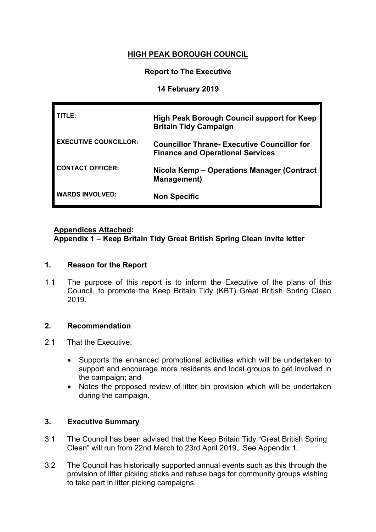# **HIGH PEAK BOROUGH COUNCIL**

### **Report to The Executive**

### **14 February 2019**

| TLE:                         | High Peak Borough Council support for Keep<br><b>Britain Tidy Campaign</b>                    |
|------------------------------|-----------------------------------------------------------------------------------------------|
| <b>EXECUTIVE COUNCILLOR:</b> | <b>Councillor Thrane- Executive Councillor for</b><br><b>Finance and Operational Services</b> |
| <b>CONTACT OFFICER:</b>      | Nicola Kemp - Operations Manager (Contract   <br><b>Management</b> )                          |
| <b>WARDS INVOLVED:</b>       | <b>Non Specific</b>                                                                           |

### **Appendices Attached:**

**Appendix 1 – Keep Britain Tidy Great British Spring Clean invite letter**

### **1. Reason for the Report**

1.1 The purpose of this report is to inform the Executive of the plans of this Council, to promote the Keep Britain Tidy (KBT) Great British Spring Clean 2019.

### **2. Recommendation**

- 2.1 That the Executive:
	- Supports the enhanced promotional activities which will be undertaken to support and encourage more residents and local groups to get involved in the campaign; and
	- Notes the proposed review of litter bin provision which will be undertaken during the campaign.

### **3. Executive Summary**

- 3.1 The Council has been advised that the Keep Britain Tidy "Great British Spring Clean" will run from 22nd March to 23rd April 2019. See Appendix 1.
- 3.2 The Council has historically supported annual events such as this through the provision of litter picking sticks and refuse bags for community groups wishing to take part in litter picking campaigns.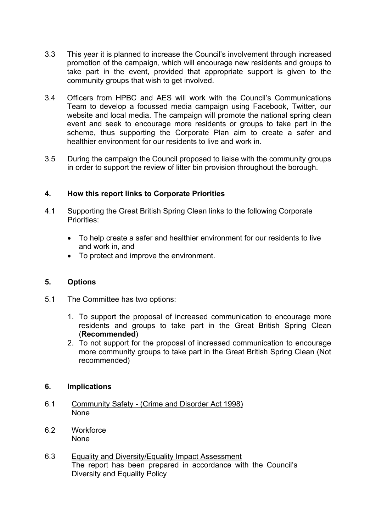- 3.3 This year it is planned to increase the Council's involvement through increased promotion of the campaign, which will encourage new residents and groups to take part in the event, provided that appropriate support is given to the community groups that wish to get involved.
- 3.4 Officers from HPBC and AES will work with the Council's Communications Team to develop a focussed media campaign using Facebook, Twitter, our website and local media. The campaign will promote the national spring clean event and seek to encourage more residents or groups to take part in the scheme, thus supporting the Corporate Plan aim to create a safer and healthier environment for our residents to live and work in.
- 3.5 During the campaign the Council proposed to liaise with the community groups in order to support the review of litter bin provision throughout the borough.

### **4. How this report links to Corporate Priorities**

- 4.1 Supporting the Great British Spring Clean links to the following Corporate Priorities:
	- To help create a safer and healthier environment for our residents to live and work in, and
	- To protect and improve the environment.

### **5. Options**

- 5.1 The Committee has two options:
	- 1. To support the proposal of increased communication to encourage more residents and groups to take part in the Great British Spring Clean (**Recommended**)
	- 2. To not support for the proposal of increased communication to encourage more community groups to take part in the Great British Spring Clean (Not recommended)

#### **6. Implications**

- 6.1 Community Safety (Crime and Disorder Act 1998) None
- 6.2 Workforce None
- 6.3 Equality and Diversity/Equality Impact Assessment The report has been prepared in accordance with the Council's Diversity and Equality Policy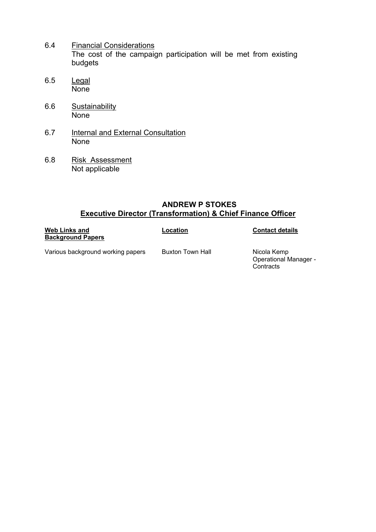- 6.4 Financial Considerations The cost of the campaign participation will be met from existing budgets
- 6.5 Legal None
- 6.6 Sustainability **None**
- 6.7 Internal and External Consultation None
- 6.8 Risk Assessment Not applicable

### **ANDREW P STOKES Executive Director (Transformation) & Chief Finance Officer**

| <b>Web Links and</b><br><b>Background Papers</b> | Location         | <b>Contact details</b>                                   |
|--------------------------------------------------|------------------|----------------------------------------------------------|
| Various background working papers                | Buxton Town Hall | Nicola Kemp<br><b>Operational Manager -</b><br>Contracts |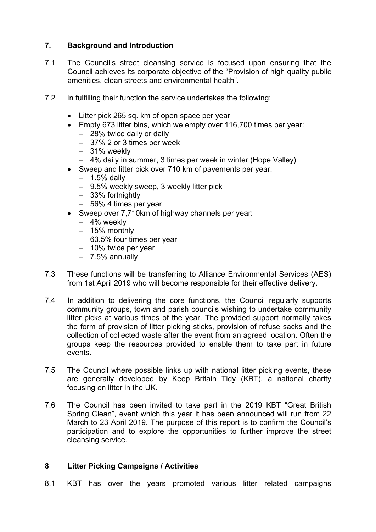## **7. Background and Introduction**

- 7.1 The Council's street cleansing service is focused upon ensuring that the Council achieves its corporate objective of the "Provision of high quality public amenities, clean streets and environmental health".
- 7.2 In fulfilling their function the service undertakes the following:
	- Litter pick 265 sq. km of open space per year
	- Empty 673 litter bins, which we empty over 116,700 times per year:
		- 28% twice daily or daily
		- 37% 2 or 3 times per week
		- 31% weekly
		- 4% daily in summer, 3 times per week in winter (Hope Valley)
	- Sweep and litter pick over 710 km of pavements per year:
		- $-$  1.5% daily
		- 9.5% weekly sweep, 3 weekly litter pick
		- 33% fortnightly
		- 56% 4 times per year
	- Sweep over 7,710km of highway channels per year:
		- 4% weekly
		- 15% monthly
		- 63.5% four times per year
		- 10% twice per year
		- 7.5% annually
- 7.3 These functions will be transferring to Alliance Environmental Services (AES) from 1st April 2019 who will become responsible for their effective delivery.
- 7.4 In addition to delivering the core functions, the Council regularly supports community groups, town and parish councils wishing to undertake community litter picks at various times of the year. The provided support normally takes the form of provision of litter picking sticks, provision of refuse sacks and the collection of collected waste after the event from an agreed location. Often the groups keep the resources provided to enable them to take part in future events.
- 7.5 The Council where possible links up with national litter picking events, these are generally developed by Keep Britain Tidy (KBT), a national charity focusing on litter in the UK.
- 7.6 The Council has been invited to take part in the 2019 KBT "Great British Spring Clean", event which this year it has been announced will run from 22 March to 23 April 2019. The purpose of this report is to confirm the Council's participation and to explore the opportunities to further improve the street cleansing service.

## **8 Litter Picking Campaigns / Activities**

8.1 KBT has over the years promoted various litter related campaigns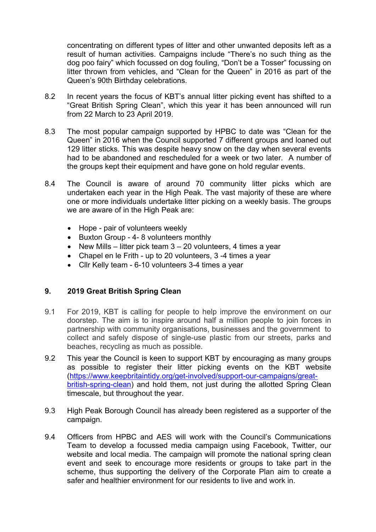concentrating on different types of litter and other unwanted deposits left as a result of human activities. Campaigns include "There's no such thing as the dog poo fairy" which focussed on dog fouling, "Don't be a Tosser" focussing on litter thrown from vehicles, and "Clean for the Queen" in 2016 as part of the Queen's 90th Birthday celebrations.

- 8.2 In recent years the focus of KBT's annual litter picking event has shifted to a "Great British Spring Clean", which this year it has been announced will run from 22 March to 23 April 2019.
- 8.3 The most popular campaign supported by HPBC to date was "Clean for the Queen" in 2016 when the Council supported 7 different groups and loaned out 129 litter sticks. This was despite heavy snow on the day when several events had to be abandoned and rescheduled for a week or two later. A number of the groups kept their equipment and have gone on hold regular events.
- 8.4 The Council is aware of around 70 community litter picks which are undertaken each year in the High Peak. The vast majority of these are where one or more individuals undertake litter picking on a weekly basis. The groups we are aware of in the High Peak are:
	- Hope pair of volunteers weekly
	- Buxton Group 4-8 volunteers monthly
	- New Mills litter pick team  $3 20$  volunteers, 4 times a year
	- Chapel en le Frith up to 20 volunteers, 3 -4 times a year
	- Cllr Kelly team 6-10 volunteers 3-4 times a year

## **9. 2019 Great British Spring Clean**

- 9.1 For 2019, KBT is calling for people to help improve the environment on our doorstep. The aim is to inspire around half a million people to join forces in partnership with community organisations, businesses and the government to collect and safely dispose of single-use plastic from our streets, parks and beaches, recycling as much as possible.
- 9.2 This year the Council is keen to support KBT by encouraging as many groups as possible to register their litter picking events on the KBT website [\(https://www.keepbritaintidy.org/get-involved/support-our-campaigns/great](https://www.keepbritaintidy.org/get-involved/support-our-campaigns/great-british-spring-clean)[british-spring-clean\)](https://www.keepbritaintidy.org/get-involved/support-our-campaigns/great-british-spring-clean) and hold them, not just during the allotted Spring Clean timescale, but throughout the year.
- 9.3 High Peak Borough Council has already been registered as a supporter of the campaign.
- 9.4 Officers from HPBC and AES will work with the Council's Communications Team to develop a focussed media campaign using Facebook, Twitter, our website and local media. The campaign will promote the national spring clean event and seek to encourage more residents or groups to take part in the scheme, thus supporting the delivery of the Corporate Plan aim to create a safer and healthier environment for our residents to live and work in.